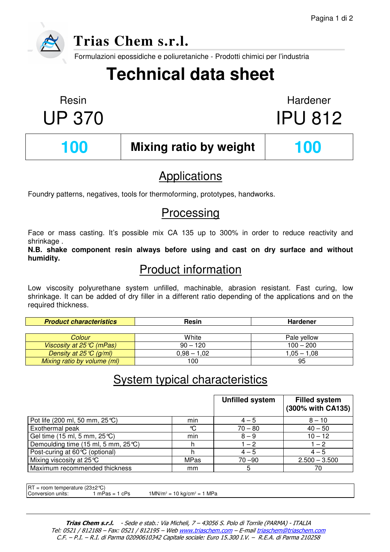

**Trias Chem s.r.l.**

Formulazioni epossidiche e poliuretaniche - Prodotti chimici per l'industria

# **Technical data sheet**

Resin **Hardener** UP 370 IPU 812

| V.<br>- -<br>M.<br>٠ |  |
|----------------------|--|
|                      |  |

# **100 Mixing ratio by weight 100**

# Applications

Foundry patterns, negatives, tools for thermoforming, prototypes, handworks.

## Processing

Face or mass casting. It's possible mix CA 135 up to 300% in order to reduce reactivity and shrinkage .

**N.B. shake component resin always before using and cast on dry surface and without humidity.** 

## Product information

Low viscosity polyurethane system unfilled, machinable, abrasion resistant. Fast curing, low shrinkage. It can be added of dry filler in a different ratio depending of the applications and on the required thickness.

| <b>Product characteristics</b>    | <b>Resin</b>  | <b>Hardener</b> |
|-----------------------------------|---------------|-----------------|
|                                   |               |                 |
| <b>Colour</b>                     | White         | Pale yellow     |
| Viscosity at $25^{\circ}C$ (mPas) | $90 - 120$    | $100 - 200$     |
| Density at 25 $C$ (g/ml)          | $0,98 - 1,02$ | $1.05 - 1.08$   |
| Mixing ratio by volume (ml)       | 100           | 95              |

# System typical characteristics

|                                     |             | <b>Unfilled system</b> | <b>Filled system</b><br>(300% with CA135) |
|-------------------------------------|-------------|------------------------|-------------------------------------------|
| Pot life (200 ml, 50 mm, 25 ℃)      | min         | $4 - 5$                | $8 - 10$                                  |
| Exothermal peak                     | °C          | $70 - 80$              | $40 - 50$                                 |
| Gel time (15 ml, 5 mm, 25 °C)       | min         | $8 - 9$                | $10 - 12$                                 |
| Demoulding time (15 ml, 5 mm, 25 ℃) |             | $1 - 2$                | $1 - 2$                                   |
| Post-curing at 60 °C (optional)     |             | $4 - 5$                | $4 - 5$                                   |
| Mixing viscosity at 25 ℃            | <b>MPas</b> | $70 - 90$              | $2.500 - 3.500$                           |
| Maximum recommended thickness       | mm          | 5                      | 70                                        |

RT = room temperature  $(23\pm2\degree C)$ <br>Conversion units: 1 mPas = 1 cPs Conversion units:  $= 10 \text{ kg/cm}^2 = 1 \text{ MPa}$ 

> Trias Chem s.r.l. - Sede e stab.: Via Micheli, 7 - 43056 S. Polo di Torrile (PARMA) - ITALIA Tel: 0521 / 812188 – Fax: 0521 / 812195 – Web www.triaschem.com – E-mail triaschem@triaschem.com C.F. – P.I. – R.I. di Parma 02090610342 Capitale sociale: Euro 15.300 I.V. – R.E.A. di Parma 210258

j